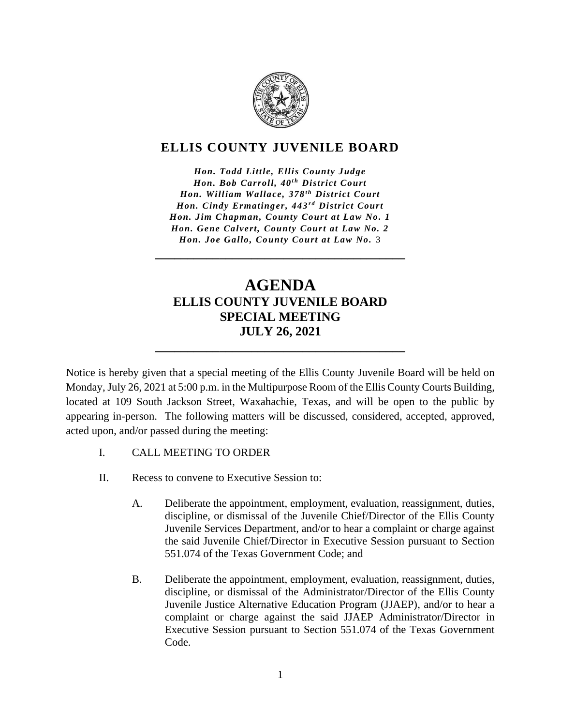

## **ELLIS COUNTY JUVENILE BOARD**

*Hon. Todd Little, Ellis County Judge Hon. Bob Carroll, 40<sup>th</sup> District Court Hon. William Wallace, 378<sup>th</sup> District Court Hon. Cindy Ermatinger, 443<sup>rd</sup> District Court Hon. Jim Chapman, County Court at Law No. 1 Hon. Gene Calvert, County Court at Law No. 2 Hon. Joe Gallo, County Court at Law No.* 3

**\_\_\_\_\_\_\_\_\_\_\_\_\_\_\_\_\_\_\_\_\_\_\_\_\_\_\_\_\_\_\_\_\_\_\_\_\_\_\_**

# **AGENDA ELLIS COUNTY JUVENILE BOARD SPECIAL MEETING JULY 26, 2021**

**\_\_\_\_\_\_\_\_\_\_\_\_\_\_\_\_\_\_\_\_\_\_\_\_\_\_\_\_\_\_\_\_\_\_\_\_\_\_\_**

Notice is hereby given that a special meeting of the Ellis County Juvenile Board will be held on Monday, July 26, 2021 at 5:00 p.m. in the Multipurpose Room of the Ellis County Courts Building, located at 109 South Jackson Street, Waxahachie, Texas, and will be open to the public by appearing in-person. The following matters will be discussed, considered, accepted, approved, acted upon, and/or passed during the meeting:

- I. CALL MEETING TO ORDER
- II. Recess to convene to Executive Session to:
	- A. Deliberate the appointment, employment, evaluation, reassignment, duties, discipline, or dismissal of the Juvenile Chief/Director of the Ellis County Juvenile Services Department, and/or to hear a complaint or charge against the said Juvenile Chief/Director in Executive Session pursuant to Section 551.074 of the Texas Government Code; and
	- B. Deliberate the appointment, employment, evaluation, reassignment, duties, discipline, or dismissal of the Administrator/Director of the Ellis County Juvenile Justice Alternative Education Program (JJAEP), and/or to hear a complaint or charge against the said JJAEP Administrator/Director in Executive Session pursuant to Section 551.074 of the Texas Government Code.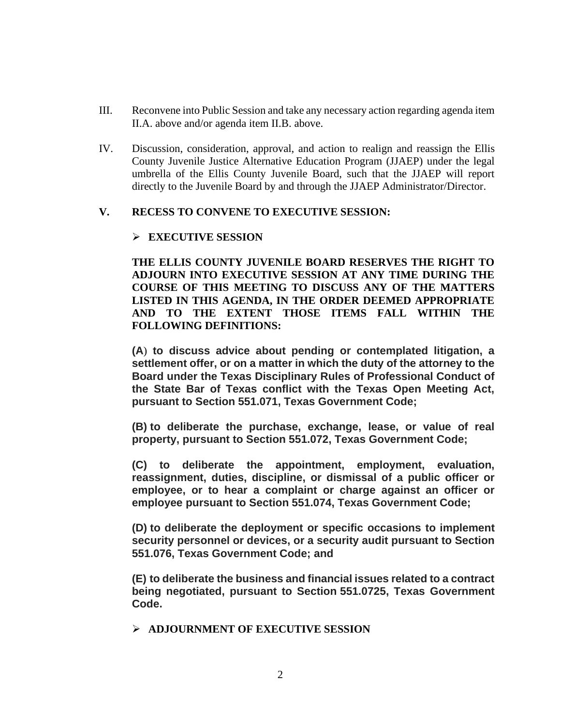- III. Reconvene into Public Session and take any necessary action regarding agenda item II.A. above and/or agenda item II.B. above.
- IV. Discussion, consideration, approval, and action to realign and reassign the Ellis County Juvenile Justice Alternative Education Program (JJAEP) under the legal umbrella of the Ellis County Juvenile Board, such that the JJAEP will report directly to the Juvenile Board by and through the JJAEP Administrator/Director.

### **V. RECESS TO CONVENE TO EXECUTIVE SESSION:**

### ➢ **EXECUTIVE SESSION**

**THE ELLIS COUNTY JUVENILE BOARD RESERVES THE RIGHT TO ADJOURN INTO EXECUTIVE SESSION AT ANY TIME DURING THE COURSE OF THIS MEETING TO DISCUSS ANY OF THE MATTERS LISTED IN THIS AGENDA, IN THE ORDER DEEMED APPROPRIATE AND TO THE EXTENT THOSE ITEMS FALL WITHIN THE FOLLOWING DEFINITIONS:**

**(A**) **to discuss advice about pending or contemplated litigation, a settlement offer, or on a matter in which the duty of the attorney to the Board under the Texas Disciplinary Rules of Professional Conduct of the State Bar of Texas conflict with the Texas Open Meeting Act, pursuant to Section 551.071, Texas Government Code;**

**(B) to deliberate the purchase, exchange, lease, or value of real property, pursuant to Section 551.072, Texas Government Code;**

**(C) to deliberate the appointment, employment, evaluation, reassignment, duties, discipline, or dismissal of a public officer or employee, or to hear a complaint or charge against an officer or employee pursuant to Section 551.074, Texas Government Code;**

**(D) to deliberate the deployment or specific occasions to implement security personnel or devices, or a security audit pursuant to Section 551.076, Texas Government Code; and**

**(E) to deliberate the business and financial issues related to a contract being negotiated, pursuant to Section [551.0725,](tel:551.0725) Texas Government Code.**

➢ **ADJOURNMENT OF EXECUTIVE SESSION**